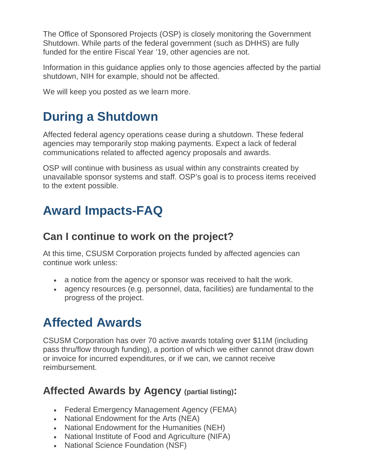The Office of Sponsored Projects (OSP) is closely monitoring the Government Shutdown. While parts of the federal government (such as DHHS) are fully funded for the entire Fiscal Year '19, other agencies are not.

Information in this guidance applies only to those [agencies affected](https://www.washington.edu/research/announcements/partial-fed-govt-shutdown-dec-2018/#affected-agencies) by the partial shutdown, NIH for example, should not be affected.

We will keep you posted as we learn more.

# **During a Shutdown**

Affected federal agency operations cease during a shutdown. These federal agencies may temporarily stop making payments. Expect a lack of federal communications related to affected agency proposals and awards.

OSP will continue with business as usual within any constraints created by unavailable sponsor systems and staff. OSP's goal is to process items received to the extent possible.

## **Award Impacts-FAQ**

### **Can I continue to work on the project?**

At this time, CSUSM Corporation projects funded by affected agencies can continue work unless:

- a notice from the agency or sponsor was received to halt the work.
- agency resources (e.g. personnel, data, facilities) are fundamental to the progress of the project.

## **Affected Awards**

CSUSM Corporation has over 70 active awards totaling over \$11M (including pass thru/flow through funding), a portion of which we either cannot draw down or invoice for incurred expenditures, or if we can, we cannot receive reimbursement.

### **Affected Awards by Agency (partial listing):**

- Federal Emergency Management Agency (FEMA)
- National Endowment for the Arts (NEA)
- National Endowment for the Humanities (NEH)
- National Institute of Food and Agriculture (NIFA)
- National Science Foundation (NSF)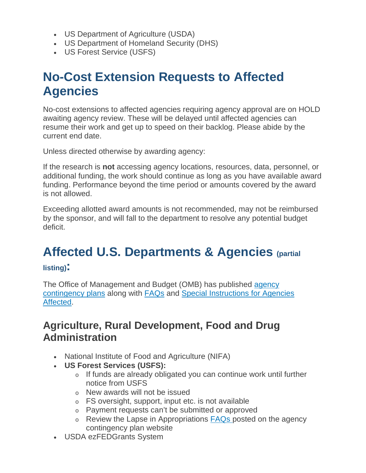- US Department of Agriculture (USDA)
- US Department of Homeland Security (DHS)
- US Forest Service (USFS)

## **No-Cost Extension Requests to Affected Agencies**

No-cost extensions to affected agencies requiring agency approval are on HOLD awaiting agency review. These will be delayed until affected agencies can resume their work and get up to speed on their backlog. Please abide by the current end date.

Unless directed otherwise by awarding agency:

If the research is **not** accessing agency locations, resources, data, personnel, or additional funding, the work should continue as long as you have available award funding. Performance beyond the time period or amounts covered by the award is not allowed.

Exceeding allotted award amounts is not recommended, may not be reimbursed by the sponsor, and will fall to the department to resolve any potential [budget](https://opb.washington.edu/content/deficit-resolution-policy)  [deficit.](https://opb.washington.edu/content/deficit-resolution-policy)

# **Affected U.S. Departments & Agencies (partial**

#### **listing):**

The Office of Management and Budget (OMB) has published [agency](https://www.whitehouse.gov/omb/information-for-agencies/agency-contingency-plans/)  [contingency plans](https://www.whitehouse.gov/omb/information-for-agencies/agency-contingency-plans/) along with [FAQs](https://www.whitehouse.gov/wp-content/uploads/2018/12/Frequently-Asked-Questions-During-a-Lapse-in-Appropriations.pdf) and [Special Instructions for Agencies](https://www.whitehouse.gov/wp-content/uploads/2018/12/Special-Instructions-for-a-Possible-December-22-Lapse.pdf)  [Affected.](https://www.whitehouse.gov/wp-content/uploads/2018/12/Special-Instructions-for-a-Possible-December-22-Lapse.pdf)

### **Agriculture, Rural Development, Food and Drug Administration**

- National Institute of Food and Agriculture (NIFA)
- **US Forest Services (USFS):**
	- o If funds are already obligated you can continue work until further notice from USFS
	- o New awards will not be issued
	- o FS oversight, support, input etc. is not available
	- o Payment requests can't be submitted or approved
	- $\circ$  Review the Lapse in Appropriations  $\overline{FAQs}$  $\overline{FAQs}$  $\overline{FAQs}$  posted on the agency contingency plan website
- USDA ezFEDGrants System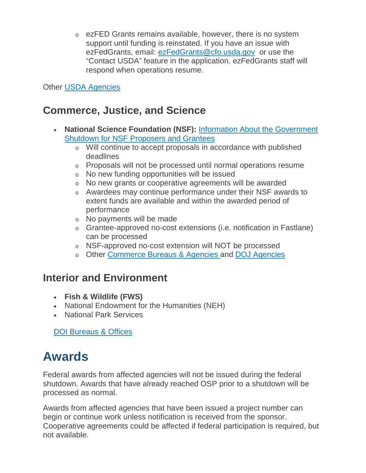o ezFED Grants remains available, however, there is no system support until funding is reinstated. If you have an issue with ezFedGrants, email: [ezFedGrants@cfo.usda.gov](mailto:ezFedGrants@cfo.usda.gov) or use the "Contact USDA" feature in the application. ezFedGrants staff will respond when operations resume.

Other [USDA Agencies](https://www.usda.gov/our-agency/agencies)

### **Commerce, Justice, and Science**

- **National Science Foundation (NSF):** [Information About the Government](https://www.nsf.gov/shutdown/grantees.jsp)  [Shutdown for NSF Proposers and Grantees](https://www.nsf.gov/shutdown/grantees.jsp)
	- o Will continue to accept proposals in accordance with published deadlines
	- o Proposals will not be processed until normal operations resume
	- o No new funding opportunities will be issued
	- o No new grants or cooperative agreements will be awarded
	- o Awardees may continue performance under their NSF awards to extent funds are available and within the awarded period of performance
	- o No payments will be made
	- o Grantee-approved no-cost extensions (i.e. notification in Fastlane) can be processed
	- o NSF-approved no-cost extension will NOT be processed
	- o Other [Commerce Bureaus & Agencies](https://www.commerce.gov/bureaus-and-offices) and [DOJ Agencies](https://www.justice.gov/agencies/alphabetical-listing-components-programs-initiatives)

### **Interior and Environment**

- **Fish & Wildlife (FWS)**
- National Endowment for the Humanities (NEH)
- National Park Services

DOI [Bureaus & Offices](https://www.doi.gov/bureaus)

# **Awards**

Federal awards from affected agencies will not be issued during the federal shutdown. Awards that have already reached OSP prior to a shutdown will be processed as normal.

Awards from affected agencies that have been issued a project number can begin or continue work unless notification is received from the sponsor. Cooperative agreements could be affected if federal participation is required, but not available.